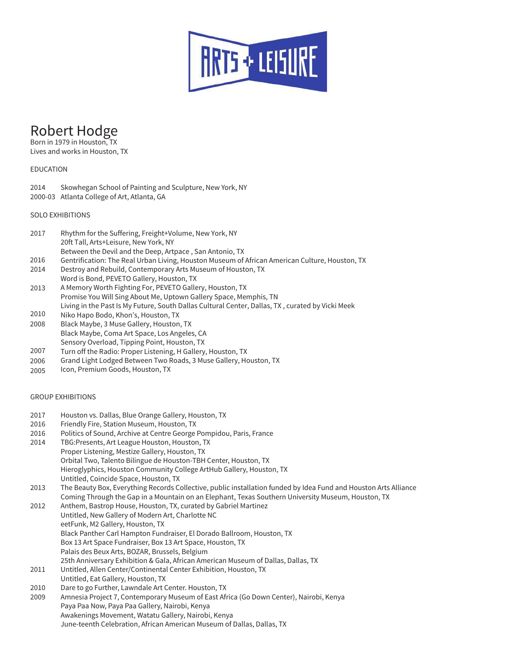

# Robert Hodge

Born in 1979 in Houston, TX Lives and works in Houston, TX

## EDUCATION

- 2014 Skowhegan School of Painting and Sculpture, New York, NY
- 2000-03 Atlanta College of Art, Atlanta, GA

## SOLO EXHIBITIONS

- 2017 Rhythm for the Suffering, Freight+Volume, New York, NY 20ft Tall, Arts+Leisure, New York, NY Between the Devil and the Deep, Artpace , San Antonio, TX
- 2016 Gentrification: The Real Urban Living, Houston Museum of African American Culture, Houston, TX
- 2014 Destroy and Rebuild, Contemporary Arts Museum of Houston, TX
- Word is Bond, PEVETO Gallery, Houston, TX
- 2013 A Memory Worth Fighting For, PEVETO Gallery, Houston, TX Promise You Will Sing About Me, Uptown Gallery Space, Memphis, TN Living in the Past Is My Future, South Dallas Cultural Center, Dallas, TX , curated by Vicki Meek
- 2010 Niko Hapo Bodo, Khon's, Houston, TX
- 2008 Black Maybe, 3 Muse Gallery, Houston, TX Black Maybe, Coma Art Space, Los Angeles, CA
- Sensory Overload, Tipping Point, Houston, TX
- 2007 Turn off the Radio: Proper Listening, H Gallery, Houston, TX
- 2006 Grand Light Lodged Between Two Roads, 3 Muse Gallery, Houston, TX
- 2005 Icon, Premium Goods, Houston, TX

## GROUP EXHIBITIONS

- 2017 Houston vs. Dallas, Blue Orange Gallery, Houston, TX
- 2016 Friendly Fire, Station Museum, Houston, TX
- 2016 Politics of Sound, Archive at Centre George Pompidou, Paris, France
- 2014 TBG:Presents, Art League Houston, Houston, TX Proper Listening, Mestize Gallery, Houston, TX Orbital Two, Talento Bilingue de Houston-TBH Center, Houston, TX Hieroglyphics, Houston Community College ArtHub Gallery, Houston, TX Untitled, Coincide Space, Houston, TX
- 2013 The Beauty Box, Everything Records Collective, public installation funded by Idea Fund and Houston Arts Alliance Coming Through the Gap in a Mountain on an Elephant, Texas Southern University Museum, Houston, TX
- 2012 Anthem, Bastrop House, Houston, TX, curated by Gabriel Martinez Untitled, New Gallery of Modern Art, Charlotte NC eetFunk, M2 Gallery, Houston, TX Black Panther Carl Hampton Fundraiser, El Dorado Ballroom, Houston, TX Box 13 Art Space Fundraiser, Box 13 Art Space, Houston, TX Palais des Beux Arts, BOZAR, Brussels, Belgium 25th Anniversary Exhibition & Gala, African American Museum of Dallas, Dallas, TX 2011 Untitled, Allen Center/Continental Center Exhibition, Houston, TX
- Untitled, Eat Gallery, Houston, TX
- 2010 Dare to go Further, Lawndale Art Center. Houston, TX
- 2009 Amnesia Project 7, Contemporary Museum of East Africa (Go Down Center), Nairobi, Kenya Paya Paa Now, Paya Paa Gallery, Nairobi, Kenya Awakenings Movement, Watatu Gallery, Nairobi, Kenya June-teenth Celebration, African American Museum of Dallas, Dallas, TX